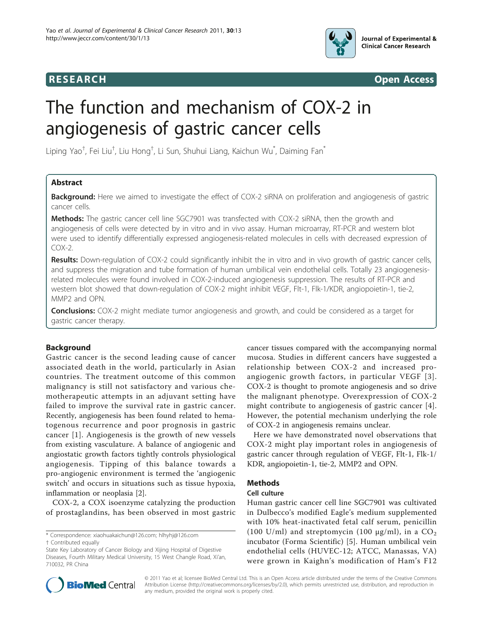



# The function and mechanism of COX-2 in angiogenesis of gastric cancer cells

Liping Yao<sup>†</sup>, Fei Liu<sup>†</sup>, Liu Hong<sup>†</sup>, Li Sun, Shuhui Liang, Kaichun Wu<sup>\*</sup>, Daiming Fan<sup>\*</sup>

# Abstract

**Background:** Here we aimed to investigate the effect of COX-2 siRNA on proliferation and angiogenesis of gastric cancer cells.

Methods: The gastric cancer cell line SGC7901 was transfected with COX-2 siRNA, then the growth and angiogenesis of cells were detected by in vitro and in vivo assay. Human microarray, RT-PCR and western blot were used to identify differentially expressed angiogenesis-related molecules in cells with decreased expression of  $COX-2$ .

Results: Down-regulation of COX-2 could significantly inhibit the in vitro and in vivo growth of gastric cancer cells, and suppress the migration and tube formation of human umbilical vein endothelial cells. Totally 23 angiogenesisrelated molecules were found involved in COX-2-induced angiogenesis suppression. The results of RT-PCR and western blot showed that down-regulation of COX-2 might inhibit VEGF, Flt-1, Flk-1/KDR, angiopoietin-1, tie-2, MMP2 and OPN.

**Conclusions:** COX-2 might mediate tumor angiogenesis and growth, and could be considered as a target for gastric cancer therapy.

# Background

Gastric cancer is the second leading cause of cancer associated death in the world, particularly in Asian countries. The treatment outcome of this common malignancy is still not satisfactory and various chemotherapeutic attempts in an adjuvant setting have failed to improve the survival rate in gastric cancer. Recently, angiogenesis has been found related to hematogenous recurrence and poor prognosis in gastric cancer [[1](#page-4-0)]. Angiogenesis is the growth of new vessels from existing vasculature. A balance of angiogenic and angiostatic growth factors tightly controls physiological angiogenesis. Tipping of this balance towards a pro-angiogenic environment is termed the 'angiogenic switch' and occurs in situations such as tissue hypoxia, inflammation or neoplasia [\[2](#page-4-0)].

COX-2, a COX isoenzyme catalyzing the production of prostaglandins, has been observed in most gastric

\* Correspondence: [xiaohuakaichun@126.com](mailto:xiaohuakaichun@126.com); [hlhyhj@126.com](mailto:hlhyhj@126.com)

cancer tissues compared with the accompanying normal mucosa. Studies in different cancers have suggested a relationship between COX-2 and increased proangiogenic growth factors, in particular VEGF [[3\]](#page-4-0). COX-2 is thought to promote angiogenesis and so drive the malignant phenotype. Overexpression of COX-2 might contribute to angiogenesis of gastric cancer [[4](#page-4-0)]. However, the potential mechanism underlying the role of COX-2 in angiogenesis remains unclear.

Here we have demonstrated novel observations that COX-2 might play important roles in angiogenesis of gastric cancer through regulation of VEGF, Flt-1, Flk-1/ KDR, angiopoietin-1, tie-2, MMP2 and OPN.

# Methods

# Cell culture

Human gastric cancer cell line SGC7901 was cultivated in Dulbecco's modified Eagle's medium supplemented with 10% heat-inactivated fetal calf serum, penicillin (100 U/ml) and streptomycin (100  $\mu$ g/ml), in a CO<sub>2</sub> incubator (Forma Scientific) [[5\]](#page-4-0). Human umbilical vein endothelial cells (HUVEC-12; ATCC, Manassas, VA) were grown in Kaighn's modification of Ham's F12



© 2011 Yao et al; licensee BioMed Central Ltd. This is an Open Access article distributed under the terms of the Creative Commons Attribution License [\(http://creativecommons.org/licenses/by/2.0](http://creativecommons.org/licenses/by/2.0)), which permits unrestricted use, distribution, and reproduction in any medium, provided the original work is properly cited.

<sup>†</sup> Contributed equally

State Key Laboratory of Cancer Biology and Xijing Hospital of Digestive Diseases, Fourth Military Medical University, 15 West Changle Road, Xi'an, 710032, PR China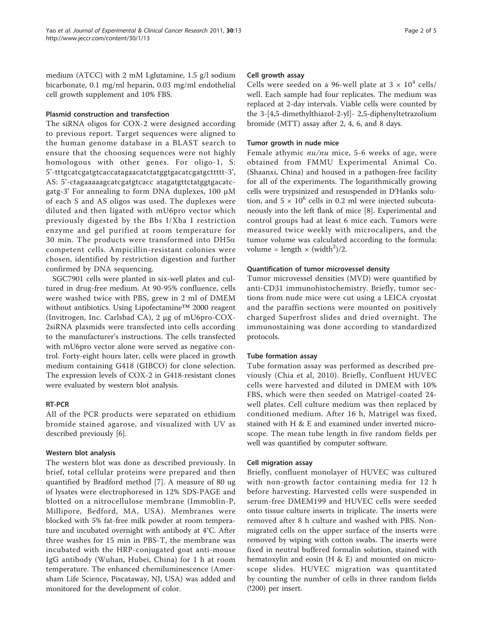medium (ATCC) with 2 mM Lglutamine, 1.5 g/l sodium bicarbonate, 0.1 mg/ml heparin, 0.03 mg/ml endothelial cell growth supplement and 10% FBS.

# Plasmid construction and transfection

The siRNA oligos for COX-2 were designed according to previous report. Target sequences were aligned to the human genome database in a BLAST search to ensure that the choosing sequences were not highly homologous with other genes. For oligo-1, S: 5'-tttgcatcgatgtcaccatagaacatctatggtgacatcgatgcttttt-3', AS: 5'-ctagaaaaagcatcgatgtcacc atagatgttctatggtgacatcgatg-3' For annealing to form DNA duplexes, 100 μM of each S and AS oligos was used. The duplexes were diluted and then ligated with mU6pro vector which previously digested by the Bbs I/Xba I restriction enzyme and gel purified at room temperature for 30 min. The products were transformed into  $DH5\alpha$ competent cells. Ampicillin-resistant colonies were chosen, identified by restriction digestion and further confirmed by DNA sequencing.

SGC7901 cells were planted in six-well plates and cultured in drug-free medium. At 90-95% confluence, cells were washed twice with PBS, grew in 2 ml of DMEM without antibiotics. Using Lipofectamine™ 2000 reagent (Invitrogen, Inc. Carlsbad CA), 2 μg of mU6pro-COX-2siRNA plasmids were transfected into cells according to the manufacturer's instructions. The cells transfected with mU6pro vector alone were served as negative control. Forty-eight hours later, cells were placed in growth medium containing G418 (GIBCO) for clone selection. The expression levels of COX-2 in G418-resistant clones were evaluated by western blot analysis.

# RT-PCR

All of the PCR products were separated on ethidium bromide stained agarose, and visualized with UV as described previously [\[6](#page-4-0)].

# Western blot analysis

The western blot was done as described previously. In brief, total cellular proteins were prepared and then quantified by Bradford method [\[7](#page-4-0)]. A measure of 80 ug of lysates were electrophoresed in 12% SDS-PAGE and blotted on a nitrocellulose membrane (Immoblin-P, Millipore, Bedford, MA, USA). Membranes were blocked with 5% fat-free milk powder at room temperature and incubated overnight with antibody at 4°C. After three washes for 15 min in PBS-T, the membrane was incubated with the HRP-conjugated goat anti-mouse IgG antibody (Wuhan, Hubei, China) for 1 h at room temperature. The enhanced chemiluminescence (Amersham Life Science, Piscataway, NJ, USA) was added and monitored for the development of color.

# Cell growth assay

Cells were seeded on a 96-well plate at  $3 \times 10^4$  cells/ well. Each sample had four replicates. The medium was replaced at 2-day intervals. Viable cells were counted by the 3-[4,5-dimethylthiazol-2-yl]- 2,5-diphenyltetrazolium bromide (MTT) assay after 2, 4, 6, and 8 days.

# Tumor growth in nude mice

Female athymic  $nu/nu$  mice, 5-6 weeks of age, were obtained from FMMU Experimental Animal Co. (Shaanxi, China) and housed in a pathogen-free facility for all of the experiments. The logarithmically growing cells were trypsinized and resuspended in D'Hanks solution, and  $5 \times 10^6$  cells in 0.2 ml were injected subcutaneously into the left flank of mice [\[8](#page-4-0)]. Experimental and control groups had at least 6 mice each. Tumors were measured twice weekly with microcalipers, and the tumor volume was calculated according to the formula: volume = length  $\times$  (width<sup>2</sup>)/2.

# Quantification of tumor microvessel density

Tumor microvessel densities (MVD) were quantified by anti-CD31 immunohistochemistry. Briefly, tumor sections from nude mice were cut using a LEICA cryostat and the paraffin sections were mounted on positively charged Superfrost slides and dried overnight. The immunostaining was done according to standardized protocols.

# Tube formation assay

Tube formation assay was performed as described previously (Chia et al, 2010). Briefly, Confluent HUVEC cells were harvested and diluted in DMEM with 10% FBS, which were then seeded on Matrigel-coated 24 well plates. Cell culture medium was then replaced by conditioned medium. After 16 h, Matrigel was fixed, stained with H & E and examined under inverted microscope. The mean tube length in five random fields per well was quantified by computer software.

# Cell migration assay

Briefly, confluent monolayer of HUVEC was cultured with non-growth factor containing media for 12 h before harvesting. Harvested cells were suspended in serum-free DMEM199 and HUVEC cells were seeded onto tissue culture inserts in triplicate. The inserts were removed after 8 h culture and washed with PBS. Nonmigrated cells on the upper surface of the inserts were removed by wiping with cotton swabs. The inserts were fixed in neutral buffered formalin solution, stained with hematoxylin and eosin (H & E) and mounted on microscope slides. HUVEC migration was quantitated by counting the number of cells in three random fields (!200) per insert.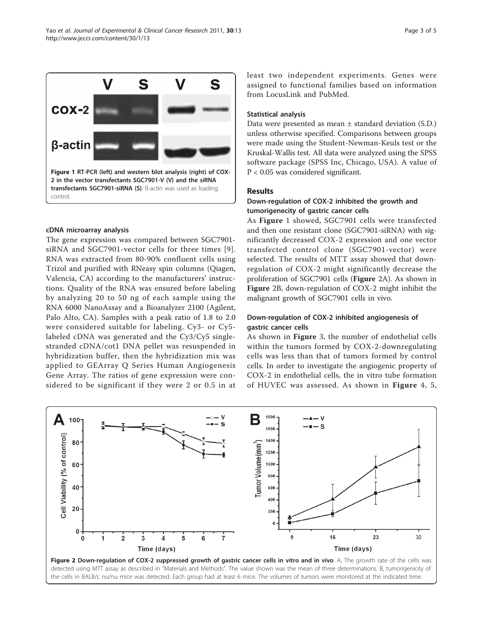cDNA microarray analysis The gene expression was compared between SGC7901 siRNA and SGC7901-vector cells for three times [[9\]](#page-4-0). RNA was extracted from 80-90% confluent cells using Trizol and purified with RNeasy spin columns (Qiagen, Valencia, CA) according to the manufacturers' instructions. Quality of the RNA was ensured before labeling by analyzing 20 to 50 ng of each sample using the RNA 6000 NanoAssay and a Bioanalyzer 2100 (Agilent, Palo Alto, CA). Samples with a peak ratio of 1.8 to 2.0 were considered suitable for labeling. Cy3- or Cy5 labeled cDNA was generated and the Cy3/Cy5 singlestranded cDNA/cot1 DNA pellet was resuspended in hybridization buffer, then the hybridization mix was applied to GEArray Q Series Human Angiogenesis Gene Array. The ratios of gene expression were considered to be significant if they were 2 or 0.5 in at

least two independent experiments. Genes were assigned to functional families based on information from LocusLink and PubMed.

# Statistical analysis

Data were presented as mean ± standard deviation (S.D.) unless otherwise specified. Comparisons between groups were made using the Student-Newman-Keuls test or the Kruskal-Wallis test. All data were analyzed using the SPSS software package (SPSS Inc, Chicago, USA). A value of P < 0.05 was considered significant.

#### Results

# Down-regulation of COX-2 inhibited the growth and tumorigenecity of gastric cancer cells

As Figure 1 showed, SGC7901 cells were transfected and then one resistant clone (SGC7901-siRNA) with significantly decreased COX-2 expression and one vector transfected control clone (SGC7901-vector) were selected. The results of MTT assay showed that downregulation of COX-2 might significantly decrease the proliferation of SGC7901 cells (Figure 2A). As shown in Figure 2B, down-regulation of COX-2 might inhibit the malignant growth of SGC7901 cells in vivo.

# Down-regulation of COX-2 inhibited angiogenesis of gastric cancer cells

As shown in Figure [3](#page-3-0), the number of endothelial cells within the tumors formed by COX-2-downregulating cells was less than that of tumors formed by control cells. In order to investigate the angiogenic property of COX-2 in endothelial cells, the in vitro tube formation of HUVEC was assessed. As shown in Figure [4](#page-3-0), [5](#page-3-0),



![](_page_2_Figure_11.jpeg)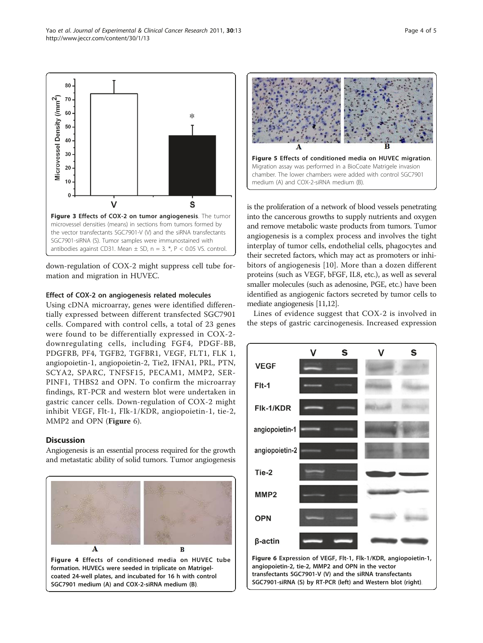down-regulation of COX-2 might suppress cell tube formation and migration in HUVEC.

Figure 3 Effects of COX-2 on tumor angiogenesis. The tumor microvessel densities (means) in sections from tumors formed by the vector transfectants SGC7901-V (V) and the siRNA transfectants SGC7901-siRNA (S). Tumor samples were immunostained with antibodies against CD31. Mean  $\pm$  SD, n = 3. \*, P < 0.05 VS. control.

 $\overline{V}$ 

### Effect of COX-2 on angiogenesis related molecules

Using cDNA microarray, genes were identified differentially expressed between different transfected SGC7901 cells. Compared with control cells, a total of 23 genes were found to be differentially expressed in COX-2 downregulating cells, including FGF4, PDGF-BB, PDGFRB, PF4, TGFB2, TGFBR1, VEGF, FLT1, FLK 1, angiopoietin-1, angiopoietin-2, Tie2, IFNA1, PRL, PTN, SCYA2, SPARC, TNFSF15, PECAM1, MMP2, SER-PINF1, THBS2 and OPN. To confirm the microarray findings, RT-PCR and western blot were undertaken in gastric cancer cells. Down-regulation of COX-2 might inhibit VEGF, Flt-1, Flk-1/KDR, angiopoietin-1, tie-2, MMP2 and OPN (Figure 6).

# **Discussion**

80 70

60

Microvessel Density (/mm<sup>2</sup>)

Angiogenesis is an essential process required for the growth and metastatic ability of solid tumors. Tumor angiogenesis

![](_page_3_Figure_5.jpeg)

is the proliferation of a network of blood vessels penetrating into the cancerous growths to supply nutrients and oxygen Figure 5 Effects of conditioned media on HUVEC migration. Migration assay was performed in a BioCoate Matrigele invasion chamber. The lower chambers were added with control SGC7901 medium (A) and COX-2-siRNA medium (B).

and remove metabolic waste products from tumors. Tumor angiogenesis is a complex process and involves the tight interplay of tumor cells, endothelial cells, phagocytes and their secreted factors, which may act as promoters or inhibitors of angiogenesis [[10\]](#page-4-0). More than a dozen different proteins (such as VEGF, bFGF, IL8, etc.), as well as several smaller molecules (such as adenosine, PGE, etc.) have been identified as angiogenic factors secreted by tumor cells to mediate angiogenesis [[11,12](#page-4-0)].

Lines of evidence suggest that COX-2 is involved in the steps of gastric carcinogenesis. Increased expression

![](_page_3_Figure_9.jpeg)

<span id="page-3-0"></span>![](_page_3_Figure_10.jpeg)

 $\ast$ 

S

![](_page_3_Figure_11.jpeg)